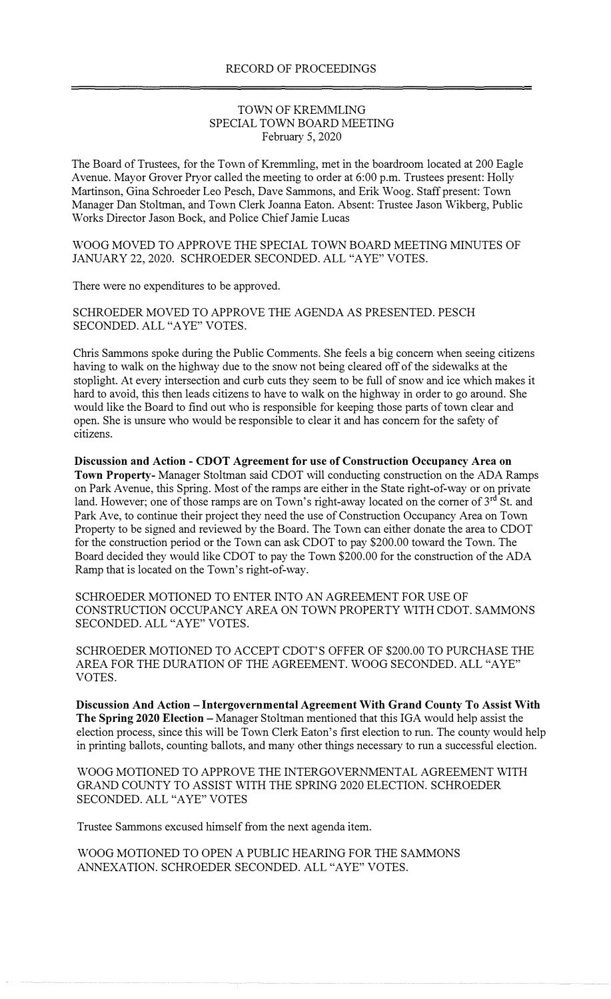## TOWN OF KREMMLING SPECIAL TOWN BOARD MEETING February 5, 2020

The Board of Trustees, for the Town of Kremmling, met in the boardroom located at 200 Eagle A venue. Mayor Grover Pryor called the meeting to order at 6:00 p.m. Trustees present: Holly Martinson, Gina Schroeder Leo Pesch, Dave Sammons, and Erik Woog. Staff present: Town Manager Dan Stoltman, and Town Clerk Joanna Eaton. Absent: Trustee Jason Wikberg, Public Works Director Jason Bock, and Police Chief Jamie Lucas

WOOG MOVED TO APPROVE THE SPECIAL TOWN BOARD MEETING MINUTES OF JANUARY 22, 2020. SCHROEDER SECONDED. ALL "A YE" VOTES.

There were no expenditures to be approved.

SCHROEDER MOVED TO APPROVE THE AGENDA AS PRESENTED. PESCH SECONDED. ALL "AYE" VOTES.

Chris Sammons spoke during the Public Comments. She feels a big concern when seeing citizens having to walk on the highway due to the snow not being cleared off of the sidewalks at the stoplight. At every intersection and curb cuts they seem to be full of snow and ice which makes it hard to avoid, this then leads citizens to have to walk on the highway in order to go around. She would like the Board to find out who is responsible for keeping those parts of town clear and open. She is unsure who would be responsible to clear it and has concern for the safety of citizens.

**Discussion and Action** - **CDOT Agreement for use of Construction Occupancy Area on Town Property-** Manager Stoltman said CDOT will conducting construction on the ADA Ramps on Park Avenue, this Spring. Most of the ramps are either in the State right-of-way or on private land. However; one of those ramps are on Town's right-away located on the corner of 3<sup>rd</sup> St. and Park Ave, to continue their project they need the use of Construction Occupancy Area on Town Property to be signed and reviewed by the Board. The Town can either donate the area to CDOT for the construction period or the Town can ask CDOT to pay \$200.00 toward the Town. The Board decided they would like CDOT to pay the Town \$200.00 for the construction of the ADA Ramp that is located on the Town's right-of-way.

SCHROEDER MOTIONED TO ENTER INTO AN AGREEMENT FOR USE OF CONSTRUCTION OCCUPANCY AREA ON TOWN PROPERTY WITH CDOT. SAMMONS SECONDED. ALL "A YE" VOTES.

SCHROEDER MOTIONED TO ACCEPT CDOT'S OFFER OF \$200.00 TO PURCHASE THE AREA FOR THE DURATION OF THE AGREEMENT. WOOG SECONDED. ALL "AYE" VOTES.

**Discussion And Action** - **Intergovernmental Agreement With Grand County To Assist With**  The Spring 2020 Election – Manager Stoltman mentioned that this IGA would help assist the election process, since this will be Town Clerk Eaton's first election to run. The county would help in printing ballots, counting ballots, and many other things necessary to run a successful election.

WOOG MOTIONED TO APPROVE THE INTERGOVERNMENTAL AGREEMENT WITH GRAND COUNTY TO ASSIST WITH THE SPRING 2020 ELECTION. SCHROEDER SECONDED. ALL "AYE" VOTES

Trustee Sammons excused himself from the next agenda item.

WOOG MOTIONED TO OPEN A PUBLIC HEARING FOR THE SAMMONS ANNEXATION. SCHROEDER SECONDED. ALL "A YE" VOTES.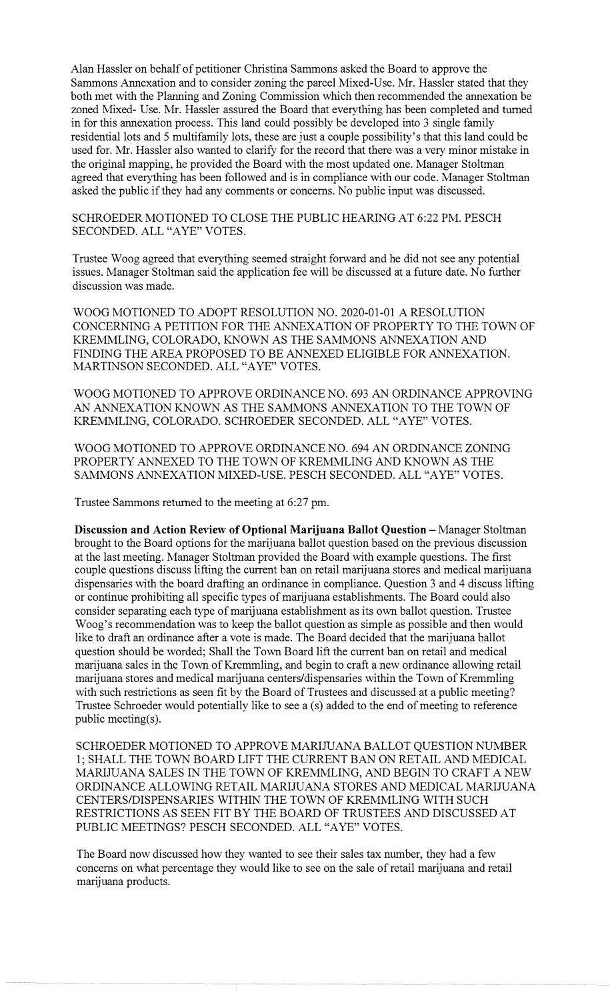Alan Hassler on behalf of petitioner Christina Sammons asked the Board to approve the Sammons Annexation and to consider zoning the parcel Mixed-Use. Mr. Hassler stated that they both met with the Planning and Zoning Commission which then recommended the annexation be zoned Mixed- Use. Mr. Hassler assured the Board that everything has been completed and turned in for this annexation process. This land could possibly be developed into 3 single family residential lots and 5 multifamily lots, these are just a couple possibility's that this land could be used for. Mr. Hassler also wanted to clarify for the record that there was a very minor mistake in the original mapping, he provided the Board with the most updated one. Manager Stoltman agreed that everything has been followed and is in compliance with our code. Manager Stoltman asked the public if they had any comments or concerns. No public input was discussed.

SCHROEDER MOTIONED TO CLOSE THE PUBLIC HEARING AT 6:22 PM. PESCH SECONDED. ALL "AYE" VOTES.

Trustee Woog agreed that everything seemed straight forward and he did not see any potential issues. Manager Stoltman said the application fee will be discussed at a future date. No further discussion was made.

WOOG MOTIONED TO ADOPT RESOLUTION NO. 2020-01-01 A RESOLUTION CONCERNING A PETITION FOR THE ANNEXATION OF PROPERTY TO THE TOWN OF KREMMLING, COLORADO, KNOWN AS THE SAMMONS ANNEXATION AND FINDING THE AREA PROPOSED TO BE ANNEXED ELIGIBLE FOR ANNEXATION. MARTINSON SECONDED. ALL "A YE" VOTES.

WOOG MOTIONED TO APPROVE ORDINANCE NO. 693 AN ORDINANCE APPROVING AN ANNEXATION KNOWN AS THE SAMMONS ANNEXATION TO THE TOWN OF KREMMLING, COLORADO. SCHROEDER SECONDED. ALL "A YE" VOTES.

WOOG MOTIONED TO APPROVE ORDINANCE NO. 694 AN ORDINANCE ZONING PROPERTY ANNEXED TO THE TOWN OF KREMMLING AND KNOWN AS THE SAMMONS ANNEXATION MIXED-USE. PESCH SECONDED. ALL "AYE" VOTES.

Trustee Sammons returned to the meeting at 6:27 pm.

**Discussion and Action Review of Optional Marijuana Ballot Question – Manager Stoltman** brought to the Board options for the marijuana ballot question based on the previous discussion at the last meeting. Manager Stoltman provided the Board with example questions. The first couple questions discuss lifting the current ban on retail marijuana stores and medical marijuana dispensaries with the board drafting an ordinance in compliance. Question 3 and 4 discuss lifting or continue prohibiting all specific types of marijuana establishments. The Board could also consider separating each type of marijuana establishment as its own ballot question. Trustee Woog's recommendation was to keep the ballot question as simple as possible and then would like to draft an ordinance after a vote is made. The Board decided that the marijuana ballot question should be worded; Shall the Town Board lift the current ban on retail and medical marijuana sales in the Town of Kremmling, and begin to craft a new ordinance allowing retail marijuana stores and medical marijuana centers/dispensaries within the Town of Kremmling with such restrictions as seen fit by the Board of Trustees and discussed at a public meeting? Trustee Schroeder would potentially like to see a (s) added to the end of meeting to reference public meeting(s).

SCHROEDER MOTIONED TO APPROVE MARIJUANA BALLOT QUESTION NUMBER 1; SHALL THE TOWN BOARD LIFT THE CURRENT BAN ON RETAIL AND MEDICAL MARIJUANA SALES IN THE TOWN OF KREMMLING, AND BEGIN TO CRAFT A NEW ORDINANCE ALLOWING RETAIL MARIJUANA STORES AND MEDICAL MARIJUANA CENTERS/DISPENSARIES WITHIN THE TOWN OF KREMMLING WITH SUCH RESTRICTIONS AS SEEN FIT BY THE BOARD OF TRUSTEES AND DISCUSSED AT PUBLIC MEETINGS? PESCH SECONDED. ALL "A YE" VOTES.

The Board now discussed how they wanted to see their sales tax number, they had a few concerns on what percentage they would like to see on the sale of retail marijuana and retail marijuana products.